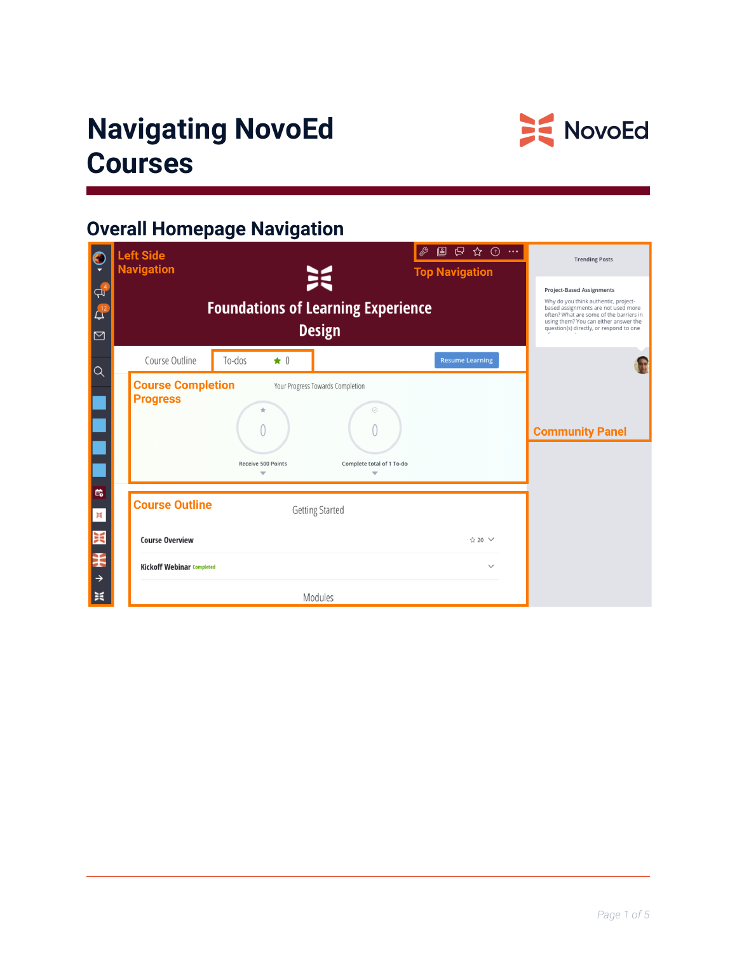# **Navigating NovoEd Courses**



# **Overall Homepage Navigation**

| C<br>$q_4^4$<br>$\Delta^{\!\!12}$<br>$\boxtimes$ | $\mathbb{R}$ $\uparrow$ $\mathbb{Q}$<br>63<br>▣<br>$\sim$ . $\sim$<br><b>Left Side</b><br><b>Navigation</b><br><b>Top Navigation</b><br>关<br><b>Foundations of Learning Experience</b><br><b>Design</b> | <b>Trending Posts</b><br><b>Project-Based Assignments</b><br>Why do you think authentic, project-<br>based assignments are not used more<br>often? What are some of the barriers in<br>using them? You can either answer the<br>question(s) directly, or respond to one |
|--------------------------------------------------|---------------------------------------------------------------------------------------------------------------------------------------------------------------------------------------------------------|-------------------------------------------------------------------------------------------------------------------------------------------------------------------------------------------------------------------------------------------------------------------------|
| $\alpha$                                         | Course Outline<br>To-dos<br>$\star$ 0<br><b>Resume Learning</b>                                                                                                                                         |                                                                                                                                                                                                                                                                         |
| $\mathbb{B}^{\bullet}_{\bullet}$                 | <b>Course Completion</b><br>Your Progress Towards Completion<br><b>Progress</b><br>⊘<br>Complete total of 1 To-do<br><b>Receive 500 Points</b>                                                          | <b>Community Panel</b>                                                                                                                                                                                                                                                  |
| ×                                                | <b>Course Outline</b><br><b>Getting Started</b>                                                                                                                                                         |                                                                                                                                                                                                                                                                         |
| 买                                                | <b>Course Overview</b><br>☆ 20 ∨                                                                                                                                                                        |                                                                                                                                                                                                                                                                         |
| ¥<br>$\rightarrow$                               | <b>Kickoff Webinar Completed</b><br>$\checkmark$                                                                                                                                                        |                                                                                                                                                                                                                                                                         |
| 美                                                | Modules                                                                                                                                                                                                 |                                                                                                                                                                                                                                                                         |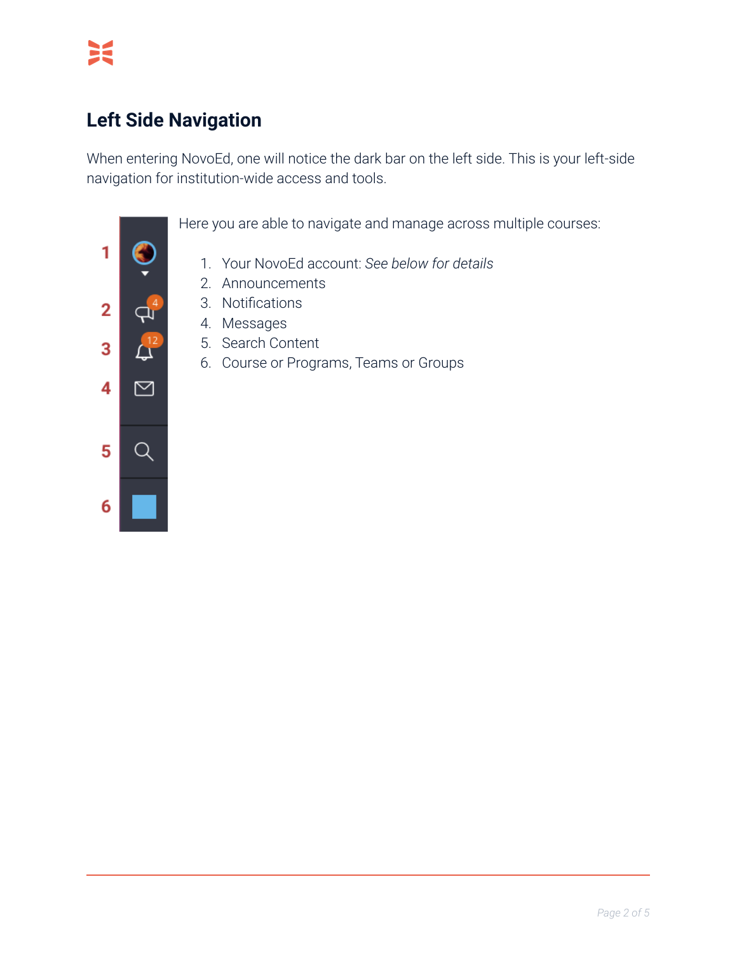# **Left Side Navigation**

When entering NovoEd, one will notice the dark bar on the left side. This is your left-side navigation for institution-wide access and tools.

1  $\overline{2}$  $\mathbf{Q}_\mathbf{I}$ 3 Д 4 ⊠ 5 Q 6

Here you are able to navigate and manage across multiple courses:

- 1. Your NovoEd account: *See below for details*
- 2. Announcements
- 3. Notifications
- 4. Messages
- 5. Search Content
- 6. Course or Programs, Teams or Groups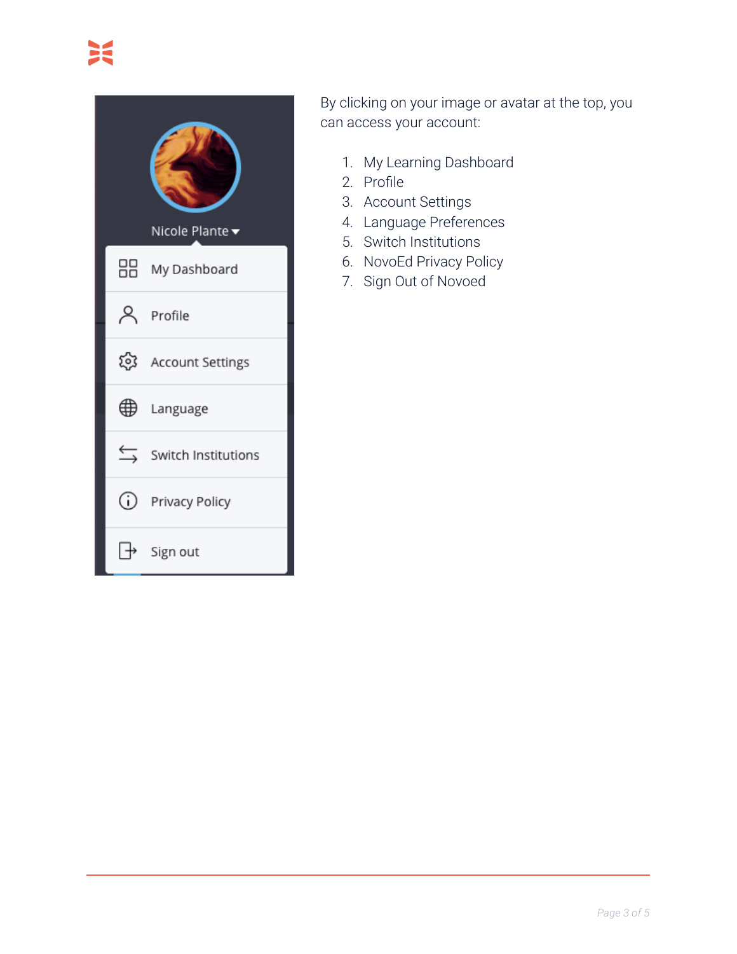

By clicking on your image or avatar at the top, you can access your account:

- 1. My Learning Dashboard
- 2. Profile
- 3. Account Settings
- 4. Language Preferences
- 5. Switch Institutions
- 6. NovoEd Privacy Policy
- 7. Sign Out of Novoed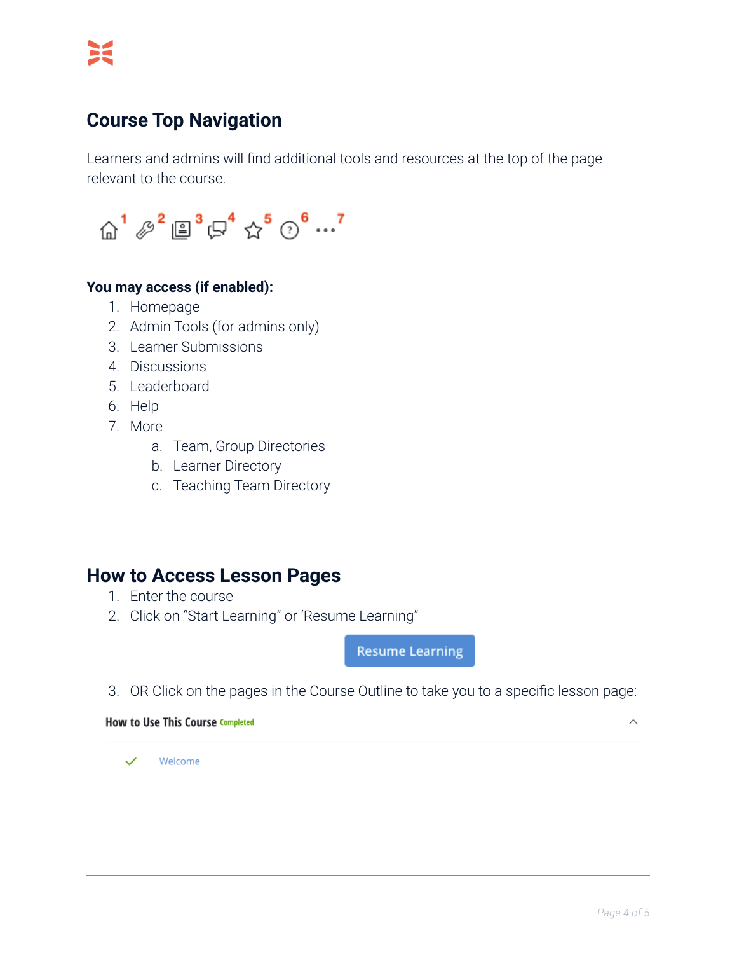### **Course Top Navigation**

Learners and admins will find additional tools and resources at the top of the page relevant to the course.



#### **You may access (if enabled):**

- 1. Homepage
- 2. Admin Tools (for admins only)
- 3. Learner Submissions
- 4. Discussions
- 5. Leaderboard
- 6. Help
- 7. More
	- a. Team, Group Directories
	- b. Learner Directory
	- c. Teaching Team Directory

#### **How to Access Lesson Pages**

- 1. Enter the course
- 2. Click on "Start Learning" or 'Resume Learning"

**Resume Learning** 

3. OR Click on the pages in the Course Outline to take you to a specific lesson page:

**How to Use This Course Completed** 

 $\widehat{\phantom{1}}$ 

Welcome  $\overline{\mathscr{S}}$